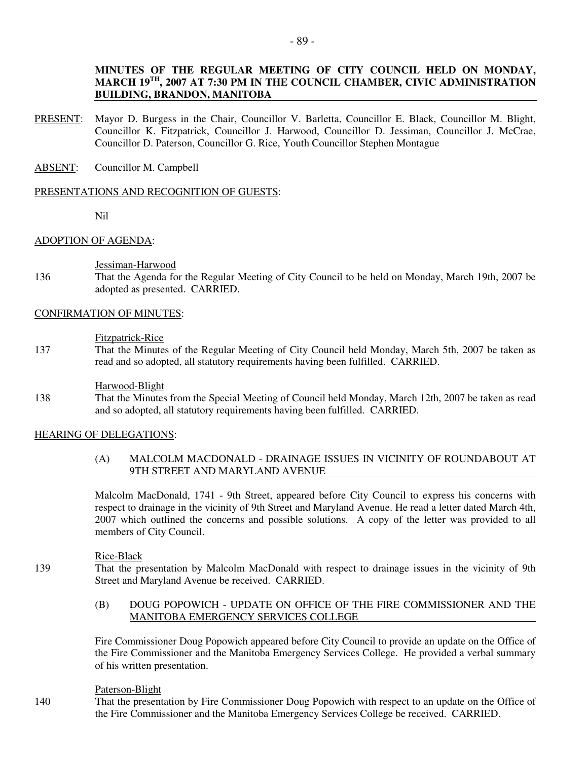## **MINUTES OF THE REGULAR MEETING OF CITY COUNCIL HELD ON MONDAY, MARCH 19TH, 2007 AT 7:30 PM IN THE COUNCIL CHAMBER, CIVIC ADMINISTRATION BUILDING, BRANDON, MANITOBA**

- PRESENT: Mayor D. Burgess in the Chair, Councillor V. Barletta, Councillor E. Black, Councillor M. Blight, Councillor K. Fitzpatrick, Councillor J. Harwood, Councillor D. Jessiman, Councillor J. McCrae, Councillor D. Paterson, Councillor G. Rice, Youth Councillor Stephen Montague
- ABSENT: Councillor M. Campbell

## PRESENTATIONS AND RECOGNITION OF GUESTS:

Nil

## ADOPTION OF AGENDA:

Jessiman-Harwood

136 That the Agenda for the Regular Meeting of City Council to be held on Monday, March 19th, 2007 be adopted as presented. CARRIED.

## CONFIRMATION OF MINUTES:

Fitzpatrick-Rice

137 That the Minutes of the Regular Meeting of City Council held Monday, March 5th, 2007 be taken as read and so adopted, all statutory requirements having been fulfilled. CARRIED.

Harwood-Blight

138 That the Minutes from the Special Meeting of Council held Monday, March 12th, 2007 be taken as read and so adopted, all statutory requirements having been fulfilled. CARRIED.

## HEARING OF DELEGATIONS:

## (A) MALCOLM MACDONALD - DRAINAGE ISSUES IN VICINITY OF ROUNDABOUT AT 9TH STREET AND MARYLAND AVENUE

Malcolm MacDonald, 1741 - 9th Street, appeared before City Council to express his concerns with respect to drainage in the vicinity of 9th Street and Maryland Avenue. He read a letter dated March 4th, 2007 which outlined the concerns and possible solutions. A copy of the letter was provided to all members of City Council.

Rice-Black

139 That the presentation by Malcolm MacDonald with respect to drainage issues in the vicinity of 9th Street and Maryland Avenue be received. CARRIED.

# (B) DOUG POPOWICH - UPDATE ON OFFICE OF THE FIRE COMMISSIONER AND THE MANITOBA EMERGENCY SERVICES COLLEGE

Fire Commissioner Doug Popowich appeared before City Council to provide an update on the Office of the Fire Commissioner and the Manitoba Emergency Services College. He provided a verbal summary of his written presentation.

## Paterson-Blight

140 That the presentation by Fire Commissioner Doug Popowich with respect to an update on the Office of the Fire Commissioner and the Manitoba Emergency Services College be received. CARRIED.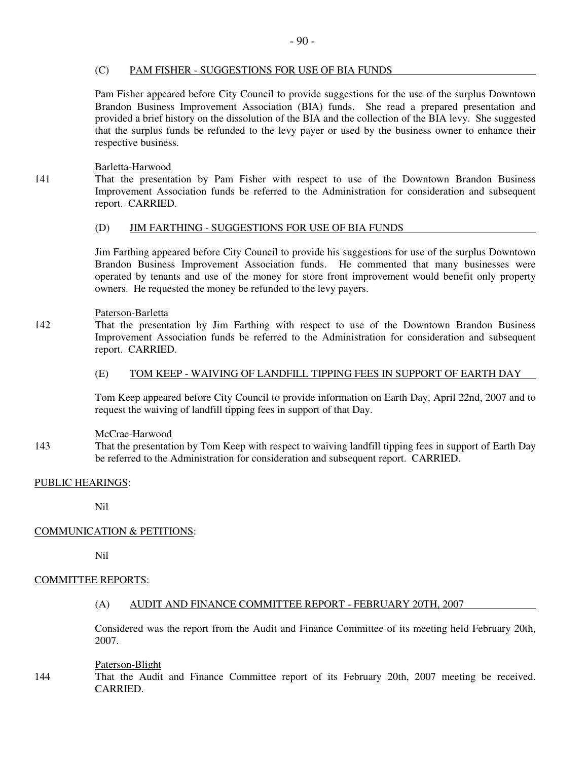## (C) PAM FISHER - SUGGESTIONS FOR USE OF BIA FUNDS

Pam Fisher appeared before City Council to provide suggestions for the use of the surplus Downtown Brandon Business Improvement Association (BIA) funds. She read a prepared presentation and provided a brief history on the dissolution of the BIA and the collection of the BIA levy. She suggested that the surplus funds be refunded to the levy payer or used by the business owner to enhance their respective business.

Barletta-Harwood

141 That the presentation by Pam Fisher with respect to use of the Downtown Brandon Business Improvement Association funds be referred to the Administration for consideration and subsequent report. CARRIED.

## (D) JIM FARTHING - SUGGESTIONS FOR USE OF BIA FUNDS

Jim Farthing appeared before City Council to provide his suggestions for use of the surplus Downtown Brandon Business Improvement Association funds. He commented that many businesses were operated by tenants and use of the money for store front improvement would benefit only property owners. He requested the money be refunded to the levy payers.

## Paterson-Barletta

142 That the presentation by Jim Farthing with respect to use of the Downtown Brandon Business Improvement Association funds be referred to the Administration for consideration and subsequent report. CARRIED.

## (E) TOM KEEP - WAIVING OF LANDFILL TIPPING FEES IN SUPPORT OF EARTH DAY

Tom Keep appeared before City Council to provide information on Earth Day, April 22nd, 2007 and to request the waiving of landfill tipping fees in support of that Day.

## McCrae-Harwood

143 That the presentation by Tom Keep with respect to waiving landfill tipping fees in support of Earth Day be referred to the Administration for consideration and subsequent report. CARRIED.

## PUBLIC HEARINGS:

Nil

## COMMUNICATION & PETITIONS:

Nil

## COMMITTEE REPORTS:

(A) AUDIT AND FINANCE COMMITTEE REPORT - FEBRUARY 20TH, 2007

Considered was the report from the Audit and Finance Committee of its meeting held February 20th, 2007.

## Paterson-Blight

144 That the Audit and Finance Committee report of its February 20th, 2007 meeting be received. CARRIED.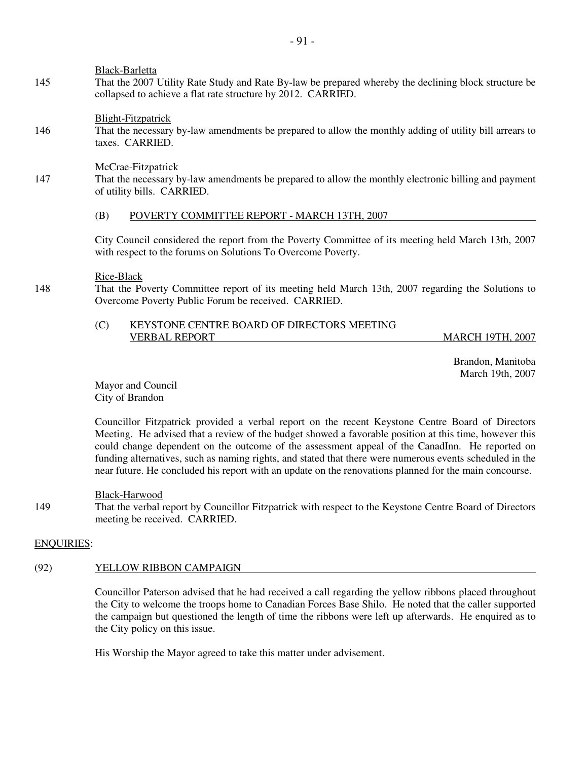Black-Barletta

145 That the 2007 Utility Rate Study and Rate By-law be prepared whereby the declining block structure be collapsed to achieve a flat rate structure by 2012. CARRIED.

## Blight-Fitzpatrick

146 That the necessary by-law amendments be prepared to allow the monthly adding of utility bill arrears to taxes. CARRIED.

## McCrae-Fitzpatrick

147 That the necessary by-law amendments be prepared to allow the monthly electronic billing and payment of utility bills. CARRIED.

## (B) POVERTY COMMITTEE REPORT - MARCH 13TH, 2007

City Council considered the report from the Poverty Committee of its meeting held March 13th, 2007 with respect to the forums on Solutions To Overcome Poverty.

## Rice-Black

148 That the Poverty Committee report of its meeting held March 13th, 2007 regarding the Solutions to Overcome Poverty Public Forum be received. CARRIED.

## (C) KEYSTONE CENTRE BOARD OF DIRECTORS MEETING VERBAL REPORT MARCH 19TH, 2007

 Brandon, Manitoba March 19th, 2007

Mayor and Council City of Brandon

Councillor Fitzpatrick provided a verbal report on the recent Keystone Centre Board of Directors Meeting. He advised that a review of the budget showed a favorable position at this time, however this could change dependent on the outcome of the assessment appeal of the CanadInn. He reported on funding alternatives, such as naming rights, and stated that there were numerous events scheduled in the near future. He concluded his report with an update on the renovations planned for the main concourse.

## Black-Harwood

149 That the verbal report by Councillor Fitzpatrick with respect to the Keystone Centre Board of Directors meeting be received. CARRIED.

## ENQUIRIES:

## (92) YELLOW RIBBON CAMPAIGN

Councillor Paterson advised that he had received a call regarding the yellow ribbons placed throughout the City to welcome the troops home to Canadian Forces Base Shilo. He noted that the caller supported the campaign but questioned the length of time the ribbons were left up afterwards. He enquired as to the City policy on this issue.

His Worship the Mayor agreed to take this matter under advisement.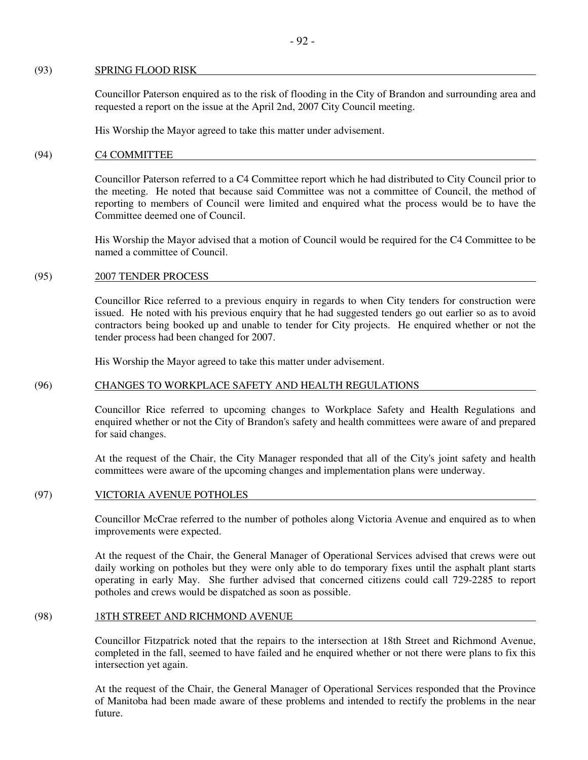#### (93) SPRING FLOOD RISK

Councillor Paterson enquired as to the risk of flooding in the City of Brandon and surrounding area and requested a report on the issue at the April 2nd, 2007 City Council meeting.

His Worship the Mayor agreed to take this matter under advisement.

#### (94) C4 COMMITTEE

Councillor Paterson referred to a C4 Committee report which he had distributed to City Council prior to the meeting. He noted that because said Committee was not a committee of Council, the method of reporting to members of Council were limited and enquired what the process would be to have the Committee deemed one of Council.

His Worship the Mayor advised that a motion of Council would be required for the C4 Committee to be named a committee of Council.

#### (95) 2007 TENDER PROCESS

Councillor Rice referred to a previous enquiry in regards to when City tenders for construction were issued. He noted with his previous enquiry that he had suggested tenders go out earlier so as to avoid contractors being booked up and unable to tender for City projects. He enquired whether or not the tender process had been changed for 2007.

His Worship the Mayor agreed to take this matter under advisement.

## (96) CHANGES TO WORKPLACE SAFETY AND HEALTH REGULATIONS

Councillor Rice referred to upcoming changes to Workplace Safety and Health Regulations and enquired whether or not the City of Brandon's safety and health committees were aware of and prepared for said changes.

At the request of the Chair, the City Manager responded that all of the City's joint safety and health committees were aware of the upcoming changes and implementation plans were underway.

# (97) VICTORIA AVENUE POTHOLES

Councillor McCrae referred to the number of potholes along Victoria Avenue and enquired as to when improvements were expected.

At the request of the Chair, the General Manager of Operational Services advised that crews were out daily working on potholes but they were only able to do temporary fixes until the asphalt plant starts operating in early May. She further advised that concerned citizens could call 729-2285 to report potholes and crews would be dispatched as soon as possible.

## (98) 18TH STREET AND RICHMOND AVENUE

Councillor Fitzpatrick noted that the repairs to the intersection at 18th Street and Richmond Avenue, completed in the fall, seemed to have failed and he enquired whether or not there were plans to fix this intersection yet again.

At the request of the Chair, the General Manager of Operational Services responded that the Province of Manitoba had been made aware of these problems and intended to rectify the problems in the near future.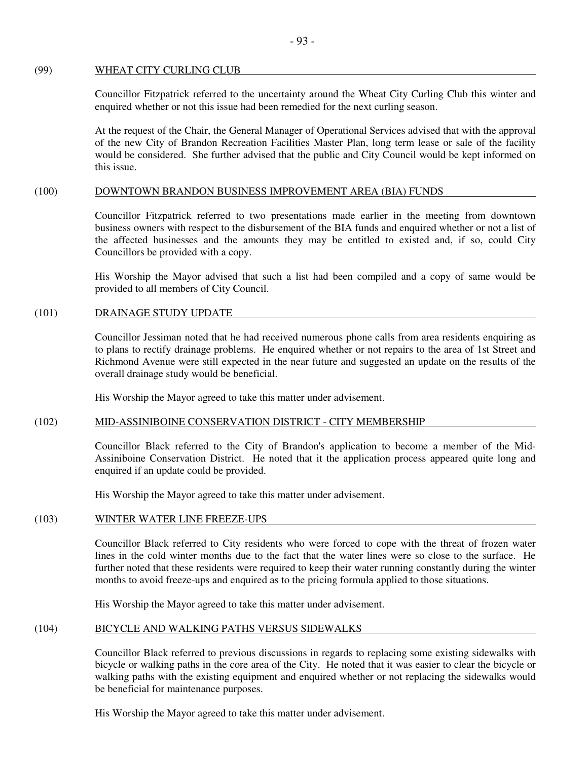## (99) WHEAT CITY CURLING CLUB

Councillor Fitzpatrick referred to the uncertainty around the Wheat City Curling Club this winter and enquired whether or not this issue had been remedied for the next curling season.

At the request of the Chair, the General Manager of Operational Services advised that with the approval of the new City of Brandon Recreation Facilities Master Plan, long term lease or sale of the facility would be considered. She further advised that the public and City Council would be kept informed on this issue.

## (100) DOWNTOWN BRANDON BUSINESS IMPROVEMENT AREA (BIA) FUNDS

Councillor Fitzpatrick referred to two presentations made earlier in the meeting from downtown business owners with respect to the disbursement of the BIA funds and enquired whether or not a list of the affected businesses and the amounts they may be entitled to existed and, if so, could City Councillors be provided with a copy.

His Worship the Mayor advised that such a list had been compiled and a copy of same would be provided to all members of City Council.

## (101) DRAINAGE STUDY UPDATE

Councillor Jessiman noted that he had received numerous phone calls from area residents enquiring as to plans to rectify drainage problems. He enquired whether or not repairs to the area of 1st Street and Richmond Avenue were still expected in the near future and suggested an update on the results of the overall drainage study would be beneficial.

His Worship the Mayor agreed to take this matter under advisement.

## (102) MID-ASSINIBOINE CONSERVATION DISTRICT - CITY MEMBERSHIP

Councillor Black referred to the City of Brandon's application to become a member of the Mid-Assiniboine Conservation District. He noted that it the application process appeared quite long and enquired if an update could be provided.

His Worship the Mayor agreed to take this matter under advisement.

## (103) WINTER WATER LINE FREEZE-UPS

Councillor Black referred to City residents who were forced to cope with the threat of frozen water lines in the cold winter months due to the fact that the water lines were so close to the surface. He further noted that these residents were required to keep their water running constantly during the winter months to avoid freeze-ups and enquired as to the pricing formula applied to those situations.

His Worship the Mayor agreed to take this matter under advisement.

## (104) BICYCLE AND WALKING PATHS VERSUS SIDEWALKS

Councillor Black referred to previous discussions in regards to replacing some existing sidewalks with bicycle or walking paths in the core area of the City. He noted that it was easier to clear the bicycle or walking paths with the existing equipment and enquired whether or not replacing the sidewalks would be beneficial for maintenance purposes.

His Worship the Mayor agreed to take this matter under advisement.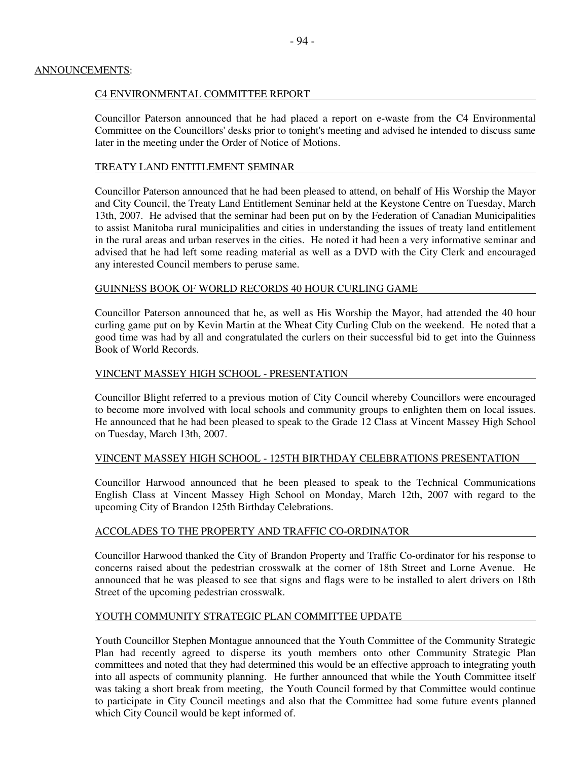## ANNOUNCEMENTS:

## C4 ENVIRONMENTAL COMMITTEE REPORT

Councillor Paterson announced that he had placed a report on e-waste from the C4 Environmental Committee on the Councillors' desks prior to tonight's meeting and advised he intended to discuss same later in the meeting under the Order of Notice of Motions.

## TREATY LAND ENTITLEMENT SEMINAR

Councillor Paterson announced that he had been pleased to attend, on behalf of His Worship the Mayor and City Council, the Treaty Land Entitlement Seminar held at the Keystone Centre on Tuesday, March 13th, 2007. He advised that the seminar had been put on by the Federation of Canadian Municipalities to assist Manitoba rural municipalities and cities in understanding the issues of treaty land entitlement in the rural areas and urban reserves in the cities. He noted it had been a very informative seminar and advised that he had left some reading material as well as a DVD with the City Clerk and encouraged any interested Council members to peruse same.

## GUINNESS BOOK OF WORLD RECORDS 40 HOUR CURLING GAME

Councillor Paterson announced that he, as well as His Worship the Mayor, had attended the 40 hour curling game put on by Kevin Martin at the Wheat City Curling Club on the weekend. He noted that a good time was had by all and congratulated the curlers on their successful bid to get into the Guinness Book of World Records.

## VINCENT MASSEY HIGH SCHOOL - PRESENTATION

Councillor Blight referred to a previous motion of City Council whereby Councillors were encouraged to become more involved with local schools and community groups to enlighten them on local issues. He announced that he had been pleased to speak to the Grade 12 Class at Vincent Massey High School on Tuesday, March 13th, 2007.

## VINCENT MASSEY HIGH SCHOOL - 125TH BIRTHDAY CELEBRATIONS PRESENTATION

Councillor Harwood announced that he been pleased to speak to the Technical Communications English Class at Vincent Massey High School on Monday, March 12th, 2007 with regard to the upcoming City of Brandon 125th Birthday Celebrations.

## ACCOLADES TO THE PROPERTY AND TRAFFIC CO-ORDINATOR

Councillor Harwood thanked the City of Brandon Property and Traffic Co-ordinator for his response to concerns raised about the pedestrian crosswalk at the corner of 18th Street and Lorne Avenue. He announced that he was pleased to see that signs and flags were to be installed to alert drivers on 18th Street of the upcoming pedestrian crosswalk.

## YOUTH COMMUNITY STRATEGIC PLAN COMMITTEE UPDATE

Youth Councillor Stephen Montague announced that the Youth Committee of the Community Strategic Plan had recently agreed to disperse its youth members onto other Community Strategic Plan committees and noted that they had determined this would be an effective approach to integrating youth into all aspects of community planning. He further announced that while the Youth Committee itself was taking a short break from meeting, the Youth Council formed by that Committee would continue to participate in City Council meetings and also that the Committee had some future events planned which City Council would be kept informed of.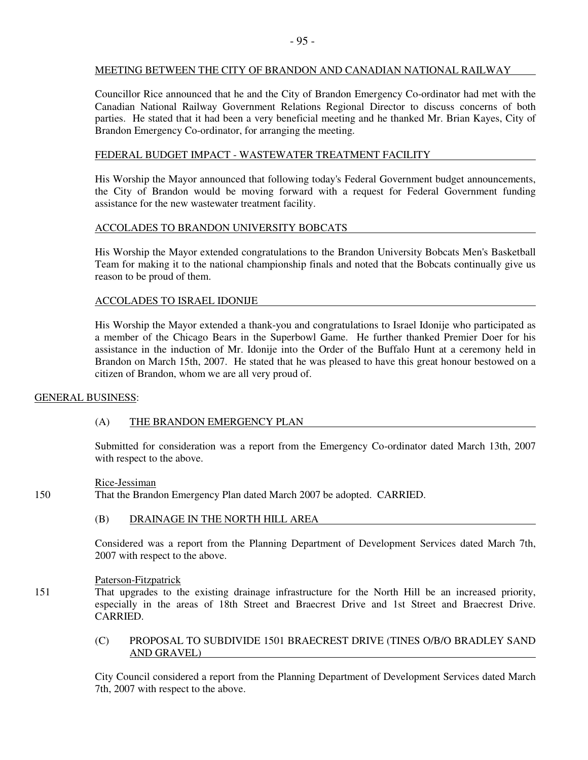## MEETING BETWEEN THE CITY OF BRANDON AND CANADIAN NATIONAL RAILWAY

Councillor Rice announced that he and the City of Brandon Emergency Co-ordinator had met with the Canadian National Railway Government Relations Regional Director to discuss concerns of both parties. He stated that it had been a very beneficial meeting and he thanked Mr. Brian Kayes, City of Brandon Emergency Co-ordinator, for arranging the meeting.

## FEDERAL BUDGET IMPACT - WASTEWATER TREATMENT FACILITY

His Worship the Mayor announced that following today's Federal Government budget announcements, the City of Brandon would be moving forward with a request for Federal Government funding assistance for the new wastewater treatment facility.

## ACCOLADES TO BRANDON UNIVERSITY BOBCATS

His Worship the Mayor extended congratulations to the Brandon University Bobcats Men's Basketball Team for making it to the national championship finals and noted that the Bobcats continually give us reason to be proud of them.

## ACCOLADES TO ISRAEL IDONIJE

His Worship the Mayor extended a thank-you and congratulations to Israel Idonije who participated as a member of the Chicago Bears in the Superbowl Game. He further thanked Premier Doer for his assistance in the induction of Mr. Idonije into the Order of the Buffalo Hunt at a ceremony held in Brandon on March 15th, 2007. He stated that he was pleased to have this great honour bestowed on a citizen of Brandon, whom we are all very proud of.

## GENERAL BUSINESS:

## (A) THE BRANDON EMERGENCY PLAN

Submitted for consideration was a report from the Emergency Co-ordinator dated March 13th, 2007 with respect to the above.

## Rice-Jessiman

150 That the Brandon Emergency Plan dated March 2007 be adopted. CARRIED.

## (B) DRAINAGE IN THE NORTH HILL AREA

Considered was a report from the Planning Department of Development Services dated March 7th, 2007 with respect to the above.

## Paterson-Fitzpatrick

151 That upgrades to the existing drainage infrastructure for the North Hill be an increased priority, especially in the areas of 18th Street and Braecrest Drive and 1st Street and Braecrest Drive. CARRIED.

## (C) PROPOSAL TO SUBDIVIDE 1501 BRAECREST DRIVE (TINES O/B/O BRADLEY SAND AND GRAVEL)

City Council considered a report from the Planning Department of Development Services dated March 7th, 2007 with respect to the above.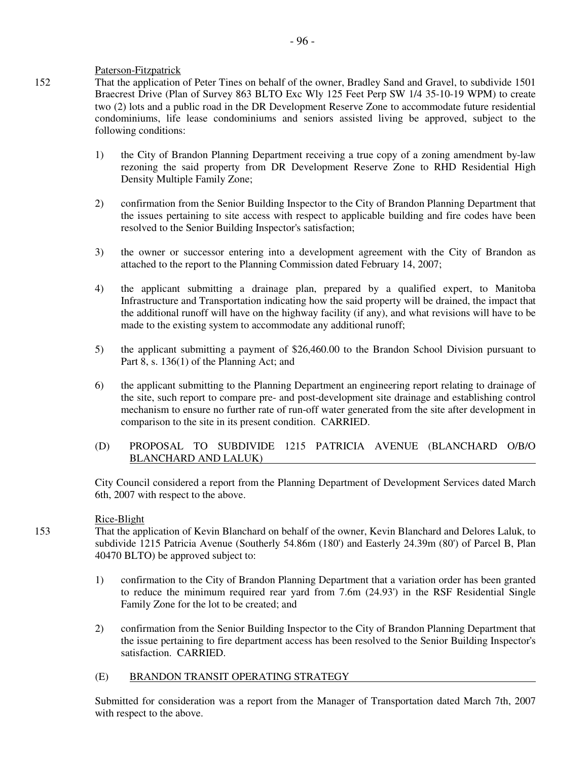## Paterson-Fitzpatrick

152 That the application of Peter Tines on behalf of the owner, Bradley Sand and Gravel, to subdivide 1501 Braecrest Drive (Plan of Survey 863 BLTO Exc Wly 125 Feet Perp SW 1/4 35-10-19 WPM) to create two (2) lots and a public road in the DR Development Reserve Zone to accommodate future residential condominiums, life lease condominiums and seniors assisted living be approved, subject to the following conditions:

- 1) the City of Brandon Planning Department receiving a true copy of a zoning amendment by-law rezoning the said property from DR Development Reserve Zone to RHD Residential High Density Multiple Family Zone;
- 2) confirmation from the Senior Building Inspector to the City of Brandon Planning Department that the issues pertaining to site access with respect to applicable building and fire codes have been resolved to the Senior Building Inspector's satisfaction;
- 3) the owner or successor entering into a development agreement with the City of Brandon as attached to the report to the Planning Commission dated February 14, 2007;
- 4) the applicant submitting a drainage plan, prepared by a qualified expert, to Manitoba Infrastructure and Transportation indicating how the said property will be drained, the impact that the additional runoff will have on the highway facility (if any), and what revisions will have to be made to the existing system to accommodate any additional runoff;
- 5) the applicant submitting a payment of \$26,460.00 to the Brandon School Division pursuant to Part 8, s. 136(1) of the Planning Act; and
- 6) the applicant submitting to the Planning Department an engineering report relating to drainage of the site, such report to compare pre- and post-development site drainage and establishing control mechanism to ensure no further rate of run-off water generated from the site after development in comparison to the site in its present condition. CARRIED.
- (D) PROPOSAL TO SUBDIVIDE 1215 PATRICIA AVENUE (BLANCHARD O/B/O BLANCHARD AND LALUK)

City Council considered a report from the Planning Department of Development Services dated March 6th, 2007 with respect to the above.

## Rice-Blight

153 That the application of Kevin Blanchard on behalf of the owner, Kevin Blanchard and Delores Laluk, to subdivide 1215 Patricia Avenue (Southerly 54.86m (180') and Easterly 24.39m (80') of Parcel B, Plan 40470 BLTO) be approved subject to:

- 1) confirmation to the City of Brandon Planning Department that a variation order has been granted to reduce the minimum required rear yard from 7.6m (24.93') in the RSF Residential Single Family Zone for the lot to be created; and
- 2) confirmation from the Senior Building Inspector to the City of Brandon Planning Department that the issue pertaining to fire department access has been resolved to the Senior Building Inspector's satisfaction. CARRIED.

## (E) BRANDON TRANSIT OPERATING STRATEGY

Submitted for consideration was a report from the Manager of Transportation dated March 7th, 2007 with respect to the above.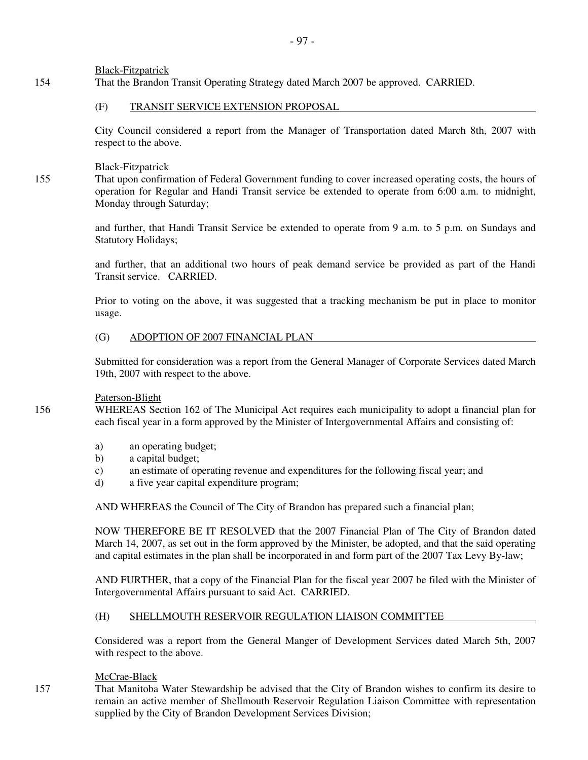Black-Fitzpatrick

154 That the Brandon Transit Operating Strategy dated March 2007 be approved. CARRIED.

## (F) TRANSIT SERVICE EXTENSION PROPOSAL

City Council considered a report from the Manager of Transportation dated March 8th, 2007 with respect to the above.

## Black-Fitzpatrick

155 That upon confirmation of Federal Government funding to cover increased operating costs, the hours of operation for Regular and Handi Transit service be extended to operate from 6:00 a.m. to midnight, Monday through Saturday;

> and further, that Handi Transit Service be extended to operate from 9 a.m. to 5 p.m. on Sundays and Statutory Holidays;

> and further, that an additional two hours of peak demand service be provided as part of the Handi Transit service. CARRIED.

> Prior to voting on the above, it was suggested that a tracking mechanism be put in place to monitor usage.

## (G) ADOPTION OF 2007 FINANCIAL PLAN

Submitted for consideration was a report from the General Manager of Corporate Services dated March 19th, 2007 with respect to the above.

## Paterson-Blight

156 WHEREAS Section 162 of The Municipal Act requires each municipality to adopt a financial plan for each fiscal year in a form approved by the Minister of Intergovernmental Affairs and consisting of:

- a) an operating budget;
- b) a capital budget;
- c) an estimate of operating revenue and expenditures for the following fiscal year; and
- d) a five year capital expenditure program;

AND WHEREAS the Council of The City of Brandon has prepared such a financial plan;

 NOW THEREFORE BE IT RESOLVED that the 2007 Financial Plan of The City of Brandon dated March 14, 2007, as set out in the form approved by the Minister, be adopted, and that the said operating and capital estimates in the plan shall be incorporated in and form part of the 2007 Tax Levy By-law;

 AND FURTHER, that a copy of the Financial Plan for the fiscal year 2007 be filed with the Minister of Intergovernmental Affairs pursuant to said Act. CARRIED.

## (H) SHELLMOUTH RESERVOIR REGULATION LIAISON COMMITTEE

Considered was a report from the General Manger of Development Services dated March 5th, 2007 with respect to the above.

## McCrae-Black

157 That Manitoba Water Stewardship be advised that the City of Brandon wishes to confirm its desire to remain an active member of Shellmouth Reservoir Regulation Liaison Committee with representation supplied by the City of Brandon Development Services Division;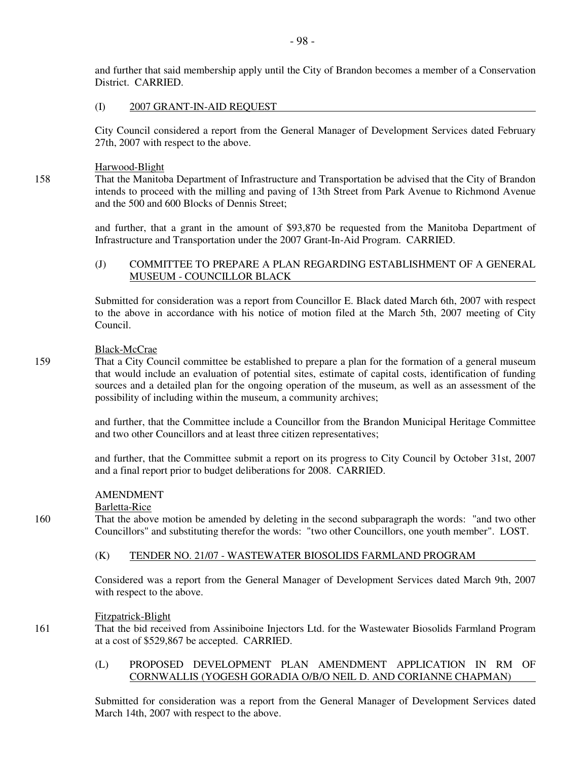and further that said membership apply until the City of Brandon becomes a member of a Conservation District. CARRIED.

## (I) 2007 GRANT-IN-AID REQUEST

City Council considered a report from the General Manager of Development Services dated February 27th, 2007 with respect to the above.

## Harwood-Blight

158 That the Manitoba Department of Infrastructure and Transportation be advised that the City of Brandon intends to proceed with the milling and paving of 13th Street from Park Avenue to Richmond Avenue and the 500 and 600 Blocks of Dennis Street;

> and further, that a grant in the amount of \$93,870 be requested from the Manitoba Department of Infrastructure and Transportation under the 2007 Grant-In-Aid Program. CARRIED.

## (J) COMMITTEE TO PREPARE A PLAN REGARDING ESTABLISHMENT OF A GENERAL MUSEUM - COUNCILLOR BLACK

Submitted for consideration was a report from Councillor E. Black dated March 6th, 2007 with respect to the above in accordance with his notice of motion filed at the March 5th, 2007 meeting of City Council.

## Black-McCrae

159 That a City Council committee be established to prepare a plan for the formation of a general museum that would include an evaluation of potential sites, estimate of capital costs, identification of funding sources and a detailed plan for the ongoing operation of the museum, as well as an assessment of the possibility of including within the museum, a community archives;

> and further, that the Committee include a Councillor from the Brandon Municipal Heritage Committee and two other Councillors and at least three citizen representatives;

> and further, that the Committee submit a report on its progress to City Council by October 31st, 2007 and a final report prior to budget deliberations for 2008. CARRIED.

## AMENDMENT

## Barletta-Rice

160 That the above motion be amended by deleting in the second subparagraph the words: "and two other Councillors" and substituting therefor the words: "two other Councillors, one youth member". LOST.

## (K) TENDER NO. 21/07 - WASTEWATER BIOSOLIDS FARMLAND PROGRAM

Considered was a report from the General Manager of Development Services dated March 9th, 2007 with respect to the above.

## Fitzpatrick-Blight

161 That the bid received from Assiniboine Injectors Ltd. for the Wastewater Biosolids Farmland Program at a cost of \$529,867 be accepted. CARRIED.

# (L) PROPOSED DEVELOPMENT PLAN AMENDMENT APPLICATION IN RM OF CORNWALLIS (YOGESH GORADIA O/B/O NEIL D. AND CORIANNE CHAPMAN)

Submitted for consideration was a report from the General Manager of Development Services dated March 14th, 2007 with respect to the above.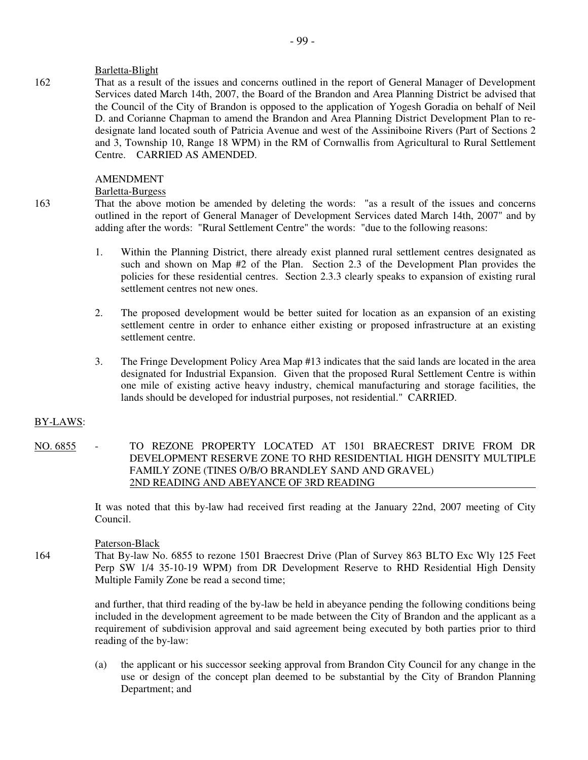## Barletta-Blight

162 That as a result of the issues and concerns outlined in the report of General Manager of Development Services dated March 14th, 2007, the Board of the Brandon and Area Planning District be advised that the Council of the City of Brandon is opposed to the application of Yogesh Goradia on behalf of Neil D. and Corianne Chapman to amend the Brandon and Area Planning District Development Plan to redesignate land located south of Patricia Avenue and west of the Assiniboine Rivers (Part of Sections 2 and 3, Township 10, Range 18 WPM) in the RM of Cornwallis from Agricultural to Rural Settlement Centre. CARRIED AS AMENDED.

## AMENDMENT

## Barletta-Burgess

163 That the above motion be amended by deleting the words: "as a result of the issues and concerns outlined in the report of General Manager of Development Services dated March 14th, 2007" and by adding after the words: "Rural Settlement Centre" the words: "due to the following reasons:

- 1. Within the Planning District, there already exist planned rural settlement centres designated as such and shown on Map #2 of the Plan. Section 2.3 of the Development Plan provides the policies for these residential centres. Section 2.3.3 clearly speaks to expansion of existing rural settlement centres not new ones.
- 2. The proposed development would be better suited for location as an expansion of an existing settlement centre in order to enhance either existing or proposed infrastructure at an existing settlement centre.
- 3. The Fringe Development Policy Area Map #13 indicates that the said lands are located in the area designated for Industrial Expansion. Given that the proposed Rural Settlement Centre is within one mile of existing active heavy industry, chemical manufacturing and storage facilities, the lands should be developed for industrial purposes, not residential." CARRIED.

## BY-LAWS:

NO. 6855 - TO REZONE PROPERTY LOCATED AT 1501 BRAECREST DRIVE FROM DR DEVELOPMENT RESERVE ZONE TO RHD RESIDENTIAL HIGH DENSITY MULTIPLE FAMILY ZONE (TINES O/B/O BRANDLEY SAND AND GRAVEL) 2ND READING AND ABEYANCE OF 3RD READING

> It was noted that this by-law had received first reading at the January 22nd, 2007 meeting of City Council.

## Paterson-Black

164 That By-law No. 6855 to rezone 1501 Braecrest Drive (Plan of Survey 863 BLTO Exc Wly 125 Feet Perp SW 1/4 35-10-19 WPM) from DR Development Reserve to RHD Residential High Density Multiple Family Zone be read a second time;

> and further, that third reading of the by-law be held in abeyance pending the following conditions being included in the development agreement to be made between the City of Brandon and the applicant as a requirement of subdivision approval and said agreement being executed by both parties prior to third reading of the by-law:

> (a) the applicant or his successor seeking approval from Brandon City Council for any change in the use or design of the concept plan deemed to be substantial by the City of Brandon Planning Department; and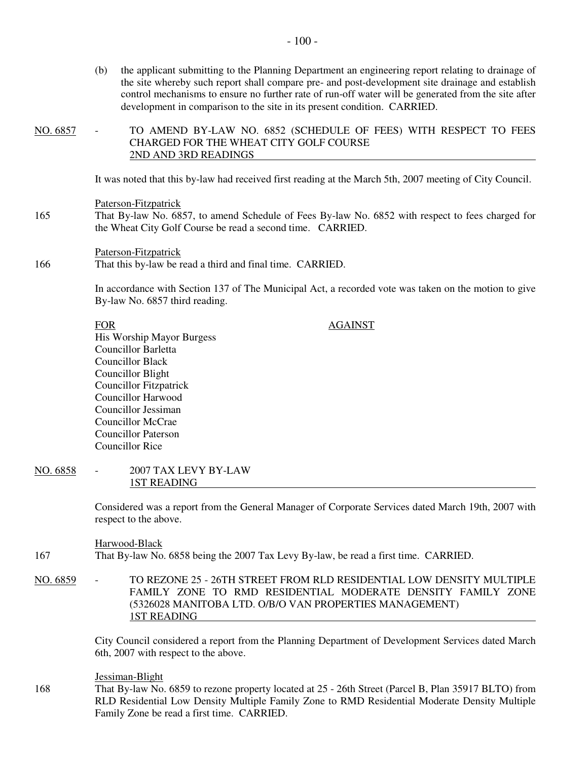(b) the applicant submitting to the Planning Department an engineering report relating to drainage of the site whereby such report shall compare pre- and post-development site drainage and establish control mechanisms to ensure no further rate of run-off water will be generated from the site after development in comparison to the site in its present condition. CARRIED.

NO. 6857 - TO AMEND BY-LAW NO. 6852 (SCHEDULE OF FEES) WITH RESPECT TO FEES CHARGED FOR THE WHEAT CITY GOLF COURSE 2ND AND 3RD READINGS

It was noted that this by-law had received first reading at the March 5th, 2007 meeting of City Council.

## Paterson-Fitzpatrick

165 That By-law No. 6857, to amend Schedule of Fees By-law No. 6852 with respect to fees charged for the Wheat City Golf Course be read a second time. CARRIED.

## Paterson-Fitzpatrick 166 That this by-law be read a third and final time. CARRIED.

In accordance with Section 137 of The Municipal Act, a recorded vote was taken on the motion to give By-law No. 6857 third reading.

## FOR AGAINST

His Worship Mayor Burgess Councillor Barletta Councillor Black Councillor Blight Councillor Fitzpatrick Councillor Harwood Councillor Jessiman Councillor McCrae Councillor Paterson Councillor Rice

## NO. 6858 - 2007 TAX LEVY BY-LAW 1ST READING

Considered was a report from the General Manager of Corporate Services dated March 19th, 2007 with respect to the above.

# Harwood-Black

- 167 That By-law No. 6858 being the 2007 Tax Levy By-law, be read a first time. CARRIED.
- NO. 6859 TO REZONE 25 26TH STREET FROM RLD RESIDENTIAL LOW DENSITY MULTIPLE FAMILY ZONE TO RMD RESIDENTIAL MODERATE DENSITY FAMILY ZONE (5326028 MANITOBA LTD. O/B/O VAN PROPERTIES MANAGEMENT) 1ST READING

City Council considered a report from the Planning Department of Development Services dated March 6th, 2007 with respect to the above.

#### Jessiman-Blight

168 That By-law No. 6859 to rezone property located at 25 - 26th Street (Parcel B, Plan 35917 BLTO) from RLD Residential Low Density Multiple Family Zone to RMD Residential Moderate Density Multiple Family Zone be read a first time. CARRIED.